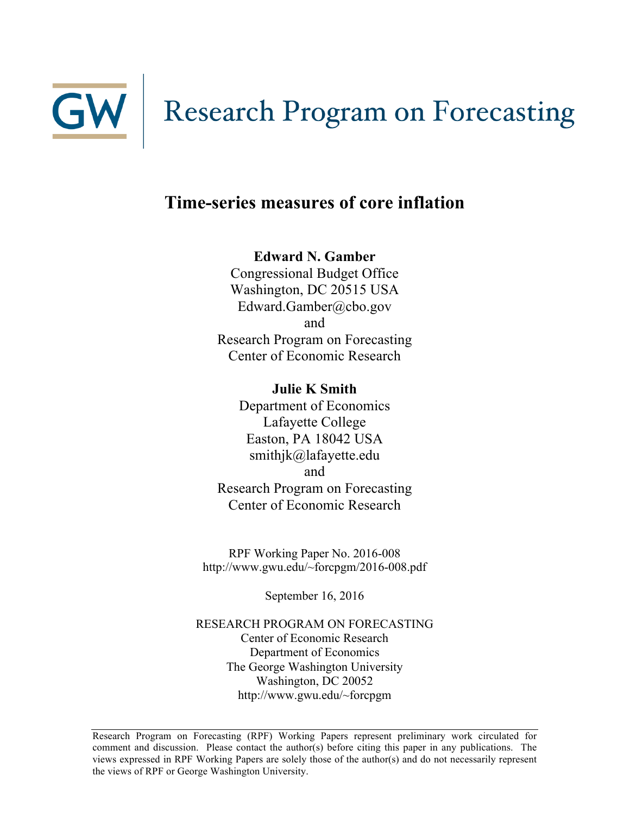

# GW Research Program on Forecasting

# **Time-series measures of core inflation**

**Edward N. Gamber** 

Congressional Budget Office Washington, DC 20515 USA Edward.Gamber@cbo.gov and Research Program on Forecasting Center of Economic Research

**Julie K Smith** Department of Economics Lafayette College Easton, PA 18042 USA smithjk@lafayette.edu and Research Program on Forecasting Center of Economic Research

RPF Working Paper No. 2016-008 http://www.gwu.edu/~forcpgm/2016-008.pdf

September 16, 2016

RESEARCH PROGRAM ON FORECASTING Center of Economic Research Department of Economics The George Washington University Washington, DC 20052 http://www.gwu.edu/~forcpgm

Research Program on Forecasting (RPF) Working Papers represent preliminary work circulated for comment and discussion. Please contact the author(s) before citing this paper in any publications. The views expressed in RPF Working Papers are solely those of the author(s) and do not necessarily represent the views of RPF or George Washington University.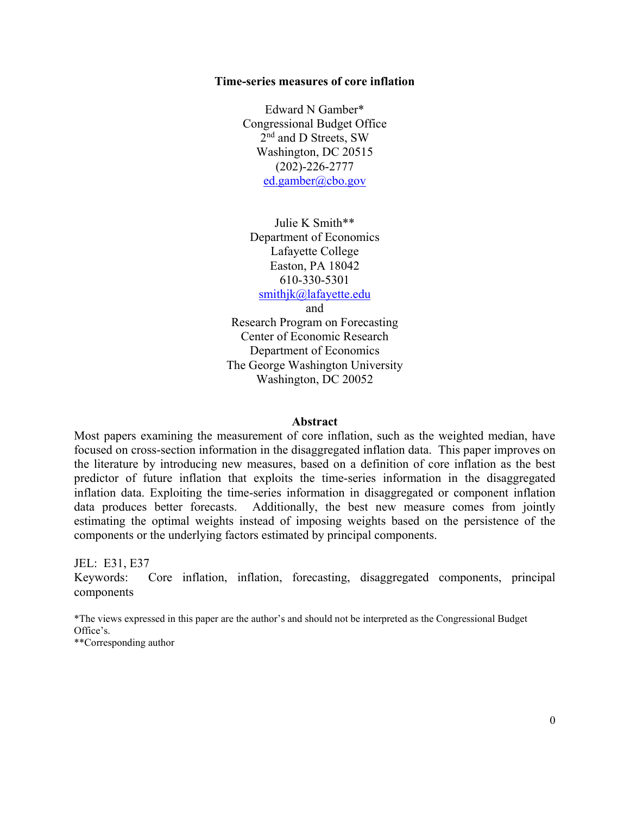#### **Time-series measures of core inflation**

Edward N Gamber\* Congressional Budget Office 2<sup>nd</sup> and D Streets, SW Washington, DC 20515 (202)-226-2777 ed.gamber@cbo.gov

Julie K Smith\*\* Department of Economics Lafayette College Easton, PA 18042 610-330-5301

smithjk@lafayette.edu

and

Research Program on Forecasting Center of Economic Research Department of Economics The George Washington University Washington, DC 20052

#### **Abstract**

Most papers examining the measurement of core inflation, such as the weighted median, have focused on cross-section information in the disaggregated inflation data. This paper improves on the literature by introducing new measures, based on a definition of core inflation as the best predictor of future inflation that exploits the time-series information in the disaggregated inflation data. Exploiting the time-series information in disaggregated or component inflation data produces better forecasts. Additionally, the best new measure comes from jointly estimating the optimal weights instead of imposing weights based on the persistence of the components or the underlying factors estimated by principal components.

JEL: E31, E37

Keywords: Core inflation, inflation, forecasting, disaggregated components, principal components

\*The views expressed in this paper are the author's and should not be interpreted as the Congressional Budget Office's.

\*\*Corresponding author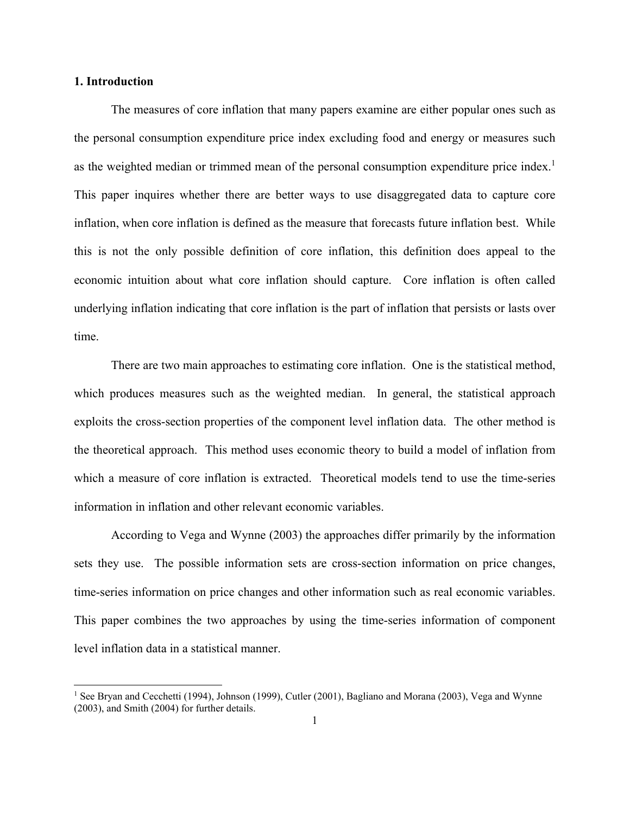#### **1. Introduction**

 $\overline{\phantom{a}}$ 

The measures of core inflation that many papers examine are either popular ones such as the personal consumption expenditure price index excluding food and energy or measures such as the weighted median or trimmed mean of the personal consumption expenditure price index.<sup>1</sup> This paper inquires whether there are better ways to use disaggregated data to capture core inflation, when core inflation is defined as the measure that forecasts future inflation best. While this is not the only possible definition of core inflation, this definition does appeal to the economic intuition about what core inflation should capture. Core inflation is often called underlying inflation indicating that core inflation is the part of inflation that persists or lasts over time.

There are two main approaches to estimating core inflation. One is the statistical method, which produces measures such as the weighted median. In general, the statistical approach exploits the cross-section properties of the component level inflation data. The other method is the theoretical approach. This method uses economic theory to build a model of inflation from which a measure of core inflation is extracted. Theoretical models tend to use the time-series information in inflation and other relevant economic variables.

According to Vega and Wynne (2003) the approaches differ primarily by the information sets they use. The possible information sets are cross-section information on price changes, time-series information on price changes and other information such as real economic variables. This paper combines the two approaches by using the time-series information of component level inflation data in a statistical manner.

<sup>&</sup>lt;sup>1</sup> See Bryan and Cecchetti (1994), Johnson (1999), Cutler (2001), Bagliano and Morana (2003), Vega and Wynne (2003), and Smith (2004) for further details.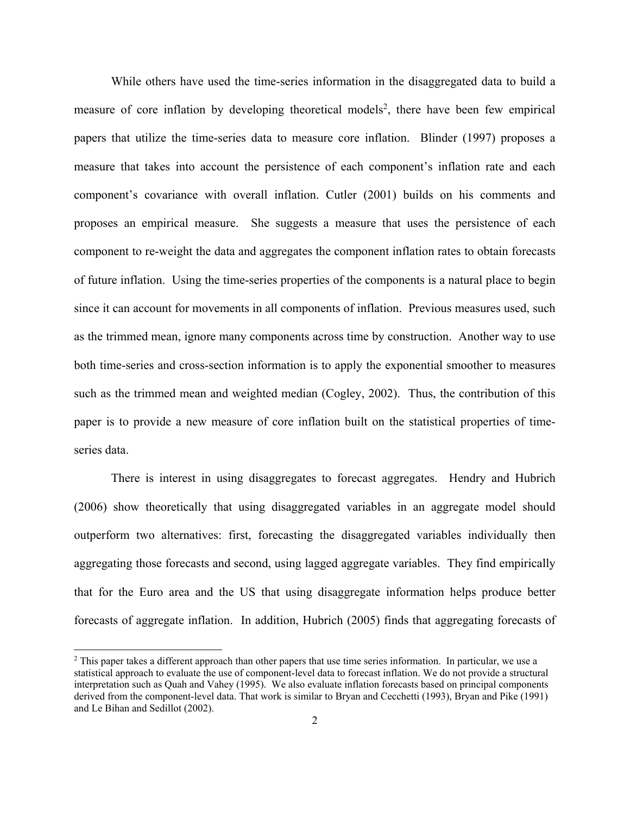While others have used the time-series information in the disaggregated data to build a measure of core inflation by developing theoretical models<sup>2</sup>, there have been few empirical papers that utilize the time-series data to measure core inflation. Blinder (1997) proposes a measure that takes into account the persistence of each component's inflation rate and each component's covariance with overall inflation. Cutler (2001) builds on his comments and proposes an empirical measure. She suggests a measure that uses the persistence of each component to re-weight the data and aggregates the component inflation rates to obtain forecasts of future inflation. Using the time-series properties of the components is a natural place to begin since it can account for movements in all components of inflation. Previous measures used, such as the trimmed mean, ignore many components across time by construction. Another way to use both time-series and cross-section information is to apply the exponential smoother to measures such as the trimmed mean and weighted median (Cogley, 2002). Thus, the contribution of this paper is to provide a new measure of core inflation built on the statistical properties of timeseries data.

There is interest in using disaggregates to forecast aggregates. Hendry and Hubrich (2006) show theoretically that using disaggregated variables in an aggregate model should outperform two alternatives: first, forecasting the disaggregated variables individually then aggregating those forecasts and second, using lagged aggregate variables. They find empirically that for the Euro area and the US that using disaggregate information helps produce better forecasts of aggregate inflation. In addition, Hubrich (2005) finds that aggregating forecasts of

 $\overline{\phantom{a}}$ 

<sup>&</sup>lt;sup>2</sup> This paper takes a different approach than other papers that use time series information. In particular, we use a statistical approach to evaluate the use of component-level data to forecast inflation. We do not provide a structural interpretation such as Quah and Vahey (1995). We also evaluate inflation forecasts based on principal components derived from the component-level data. That work is similar to Bryan and Cecchetti (1993), Bryan and Pike (1991) and Le Bihan and Sedillot (2002).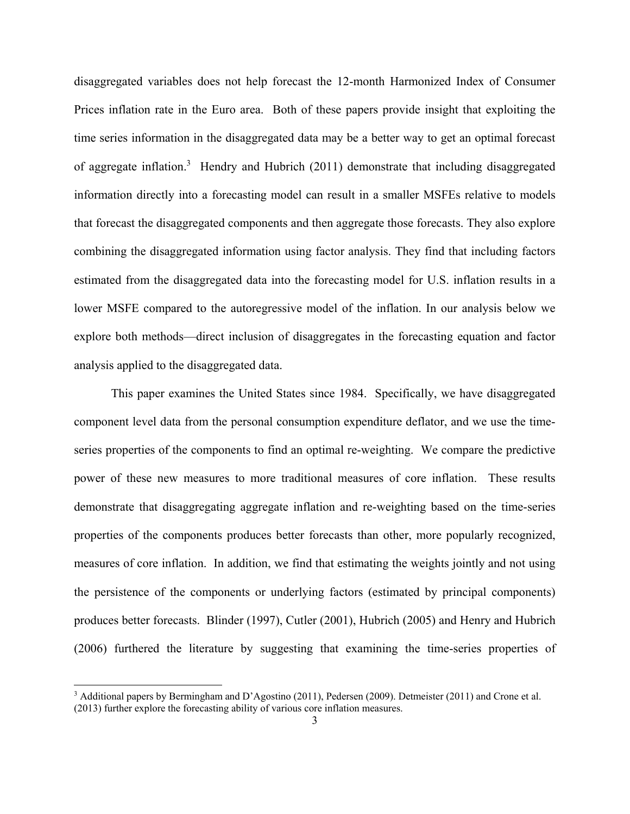disaggregated variables does not help forecast the 12-month Harmonized Index of Consumer Prices inflation rate in the Euro area. Both of these papers provide insight that exploiting the time series information in the disaggregated data may be a better way to get an optimal forecast of aggregate inflation.<sup>3</sup> Hendry and Hubrich (2011) demonstrate that including disaggregated information directly into a forecasting model can result in a smaller MSFEs relative to models that forecast the disaggregated components and then aggregate those forecasts. They also explore combining the disaggregated information using factor analysis. They find that including factors estimated from the disaggregated data into the forecasting model for U.S. inflation results in a lower MSFE compared to the autoregressive model of the inflation. In our analysis below we explore both methods—direct inclusion of disaggregates in the forecasting equation and factor analysis applied to the disaggregated data.

This paper examines the United States since 1984. Specifically, we have disaggregated component level data from the personal consumption expenditure deflator, and we use the timeseries properties of the components to find an optimal re-weighting. We compare the predictive power of these new measures to more traditional measures of core inflation. These results demonstrate that disaggregating aggregate inflation and re-weighting based on the time-series properties of the components produces better forecasts than other, more popularly recognized, measures of core inflation. In addition, we find that estimating the weights jointly and not using the persistence of the components or underlying factors (estimated by principal components) produces better forecasts. Blinder (1997), Cutler (2001), Hubrich (2005) and Henry and Hubrich (2006) furthered the literature by suggesting that examining the time-series properties of

 $\overline{\phantom{a}}$ 

<sup>&</sup>lt;sup>3</sup> Additional papers by Bermingham and D'Agostino (2011), Pedersen (2009). Detmeister (2011) and Crone et al. (2013) further explore the forecasting ability of various core inflation measures.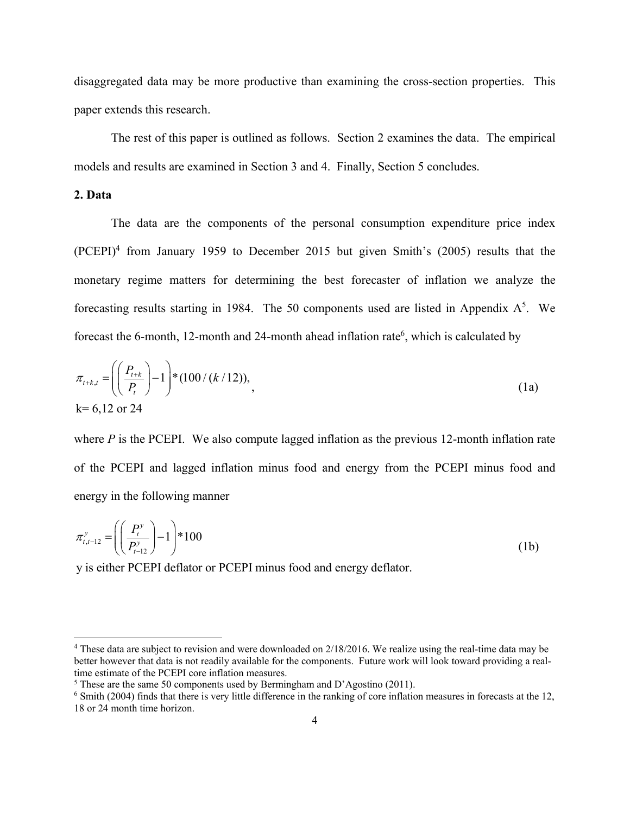disaggregated data may be more productive than examining the cross-section properties. This paper extends this research.

The rest of this paper is outlined as follows. Section 2 examines the data. The empirical models and results are examined in Section 3 and 4. Finally, Section 5 concludes.

#### **2. Data**

l

 The data are the components of the personal consumption expenditure price index (PCEPI)<sup>4</sup> from January 1959 to December 2015 but given Smith's (2005) results that the monetary regime matters for determining the best forecaster of inflation we analyze the forecasting results starting in 1984. The 50 components used are listed in Appendix  $A^5$ . We forecast the 6-month, 12-month and 24-month ahead inflation rate<sup>6</sup>, which is calculated by

$$
\pi_{t+k,t} = \left( \left( \frac{P_{t+k}}{P_t} \right) - 1 \right) * (100 / (k / 12)),
$$
\n
$$
k = 6,12 \text{ or } 24 \tag{1a}
$$

where *P* is the PCEPI. We also compute lagged inflation as the previous 12-month inflation rate of the PCEPI and lagged inflation minus food and energy from the PCEPI minus food and energy in the following manner

$$
\pi_{t,t-12}^y = \left( \left( \frac{P_t^y}{P_{t-12}^y} \right) - 1 \right) * 100
$$
 (1b)

y is either PCEPI deflator or PCEPI minus food and energy deflator.

<sup>&</sup>lt;sup>4</sup> These data are subject to revision and were downloaded on 2/18/2016. We realize using the real-time data may be better however that data is not readily available for the components. Future work will look toward providing a realtime estimate of the PCEPI core inflation measures.

 $5$  These are the same 50 components used by Bermingham and D'Agostino (2011).

<sup>&</sup>lt;sup>6</sup> Smith (2004) finds that there is very little difference in the ranking of core inflation measures in forecasts at the 12, 18 or 24 month time horizon.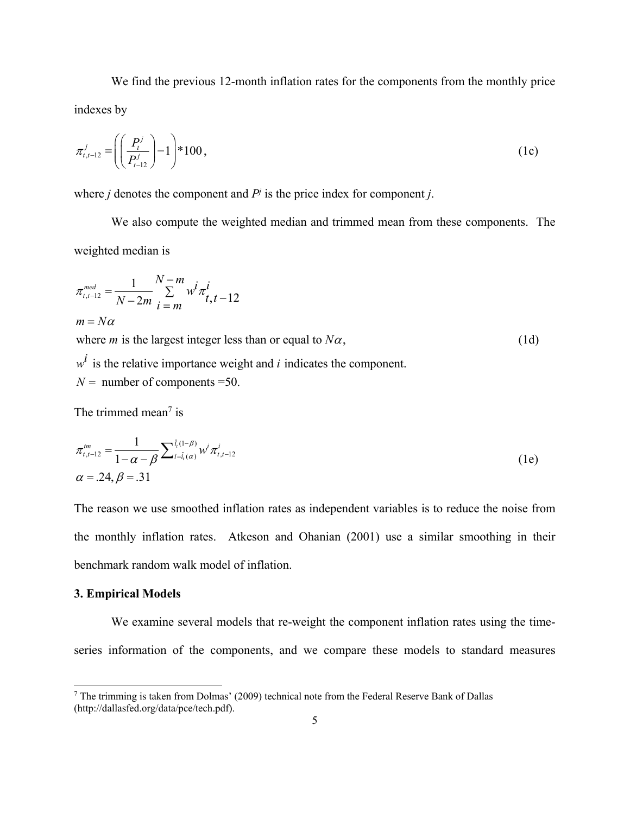We find the previous 12-month inflation rates for the components from the monthly price indexes by

$$
\pi_{t,t-12}^j = \left( \left( \frac{P_t^j}{P_{t-12}^j} \right) - 1 \right) * 100 , \qquad (1c)
$$

where *j* denotes the component and  $P<sup>j</sup>$  is the price index for component *j*.

We also compute the weighted median and trimmed mean from these components. The weighted median is

$$
\pi_{i,i-12}^{med} = \frac{1}{N-2m} \sum_{i=m}^{N-m} w^i \pi_{i,t-12}^i
$$
  
\n
$$
m = N\alpha
$$
  
\nwhere *m* is the largest integer less than or equal to  $N\alpha$ ,  
\n
$$
w^i
$$
 is the relative importance weight and *i* indicates the component. (1d)

 $N =$  number of components = 50.

The trimmed mean<sup> $7$ </sup> is

$$
\pi_{t,t-12}^{tm} = \frac{1}{1-\alpha-\beta} \sum_{i=\hat{i}_{t}(\alpha)}^{\hat{i}_{t}(1-\beta)} w^{i} \pi_{t,t-12}^{i}
$$
\n
$$
\alpha = .24, \beta = .31
$$
\n(1e)

The reason we use smoothed inflation rates as independent variables is to reduce the noise from the monthly inflation rates. Atkeson and Ohanian (2001) use a similar smoothing in their benchmark random walk model of inflation.

#### **3. Empirical Models**

 $\overline{\phantom{a}}$ 

We examine several models that re-weight the component inflation rates using the timeseries information of the components, and we compare these models to standard measures

 $<sup>7</sup>$  The trimming is taken from Dolmas' (2009) technical note from the Federal Reserve Bank of Dallas</sup> (http://dallasfed.org/data/pce/tech.pdf).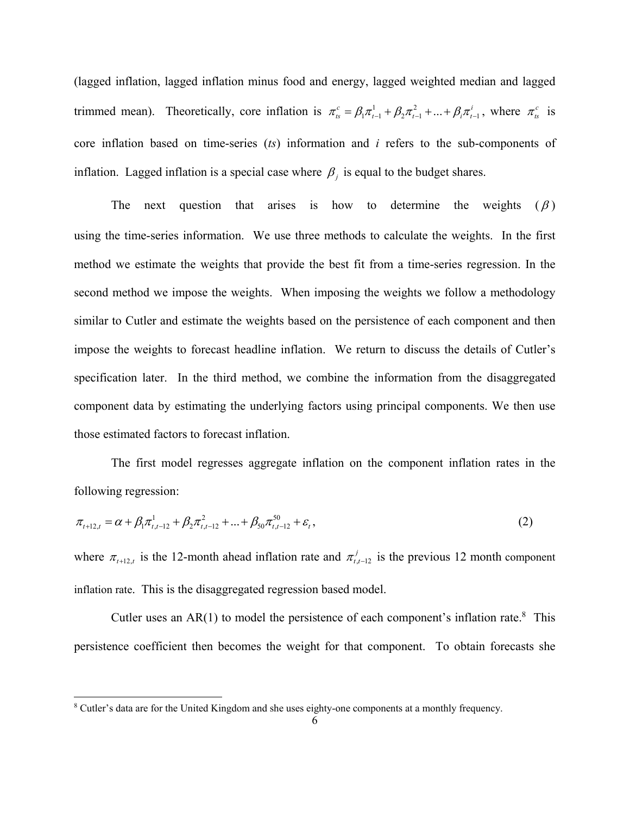(lagged inflation, lagged inflation minus food and energy, lagged weighted median and lagged trimmed mean). Theoretically, core inflation is  $\pi_{ts}^c = \beta_1 \pi_{t-1}^1 + \beta_2 \pi_{t-1}^2 + ... + \beta_i \pi_{t-1}^i$ , where  $\pi_{ts}^c$  is core inflation based on time-series (*ts*) information and *i* refers to the sub-components of inflation. Lagged inflation is a special case where  $\beta_j$  is equal to the budget shares.

The next question that arises is how to determine the weights  $(\beta)$ using the time-series information. We use three methods to calculate the weights. In the first method we estimate the weights that provide the best fit from a time-series regression. In the second method we impose the weights. When imposing the weights we follow a methodology similar to Cutler and estimate the weights based on the persistence of each component and then impose the weights to forecast headline inflation. We return to discuss the details of Cutler's specification later. In the third method, we combine the information from the disaggregated component data by estimating the underlying factors using principal components. We then use those estimated factors to forecast inflation.

 The first model regresses aggregate inflation on the component inflation rates in the following regression:

$$
\pi_{t+12,t} = \alpha + \beta_1 \pi_{t,t-12}^1 + \beta_2 \pi_{t,t-12}^2 + \dots + \beta_{50} \pi_{t,t-12}^{50} + \varepsilon_t,
$$
\n(2)

where  $\pi_{t+1, t}$  is the 12-month ahead inflation rate and  $\pi_{t, t-1, t}^{j}$  is the previous 12 month component inflation rate. This is the disaggregated regression based model.

Cutler uses an  $AR(1)$  to model the persistence of each component's inflation rate.<sup>8</sup> This persistence coefficient then becomes the weight for that component. To obtain forecasts she

<sup>&</sup>lt;sup>8</sup> Cutler's data are for the United Kingdom and she uses eighty-one components at a monthly frequency.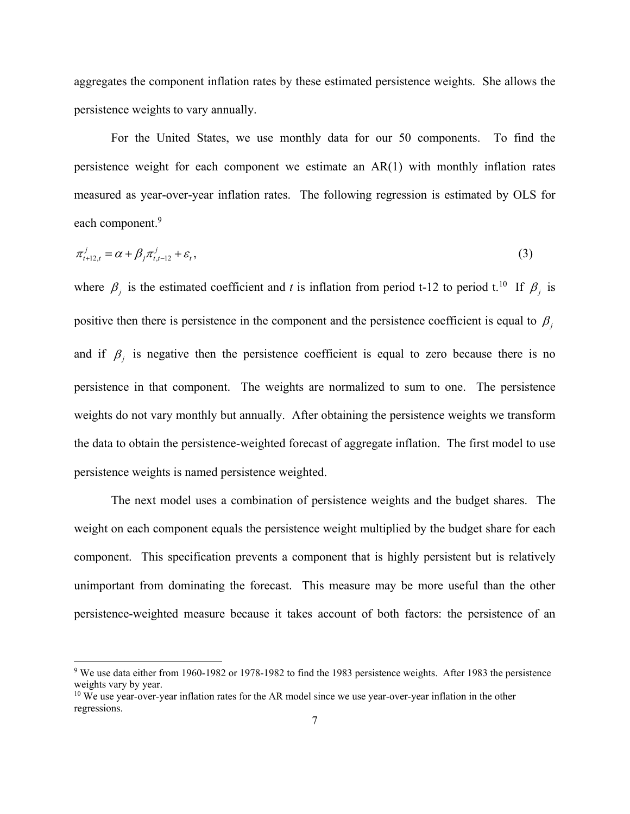aggregates the component inflation rates by these estimated persistence weights. She allows the persistence weights to vary annually.

For the United States, we use monthly data for our 50 components. To find the persistence weight for each component we estimate an AR(1) with monthly inflation rates measured as year-over-year inflation rates. The following regression is estimated by OLS for each component.<sup>9</sup>

$$
\pi_{t+12,t}^j = \alpha + \beta_j \pi_{t,t-12}^j + \varepsilon_t,\tag{3}
$$

where  $\beta_j$  is the estimated coefficient and *t* is inflation from period t-12 to period t.<sup>10</sup> If  $\beta_j$  is positive then there is persistence in the component and the persistence coefficient is equal to  $\beta$ and if  $\beta_j$  is negative then the persistence coefficient is equal to zero because there is no persistence in that component. The weights are normalized to sum to one. The persistence weights do not vary monthly but annually. After obtaining the persistence weights we transform the data to obtain the persistence-weighted forecast of aggregate inflation. The first model to use persistence weights is named persistence weighted.

 The next model uses a combination of persistence weights and the budget shares. The weight on each component equals the persistence weight multiplied by the budget share for each component. This specification prevents a component that is highly persistent but is relatively unimportant from dominating the forecast. This measure may be more useful than the other persistence-weighted measure because it takes account of both factors: the persistence of an

<sup>&</sup>lt;sup>9</sup> We use data either from 1960-1982 or 1978-1982 to find the 1983 persistence weights. After 1983 the persistence weights vary by year.

<sup>&</sup>lt;sup>10</sup> We use year-over-year inflation rates for the AR model since we use year-over-year inflation in the other regressions.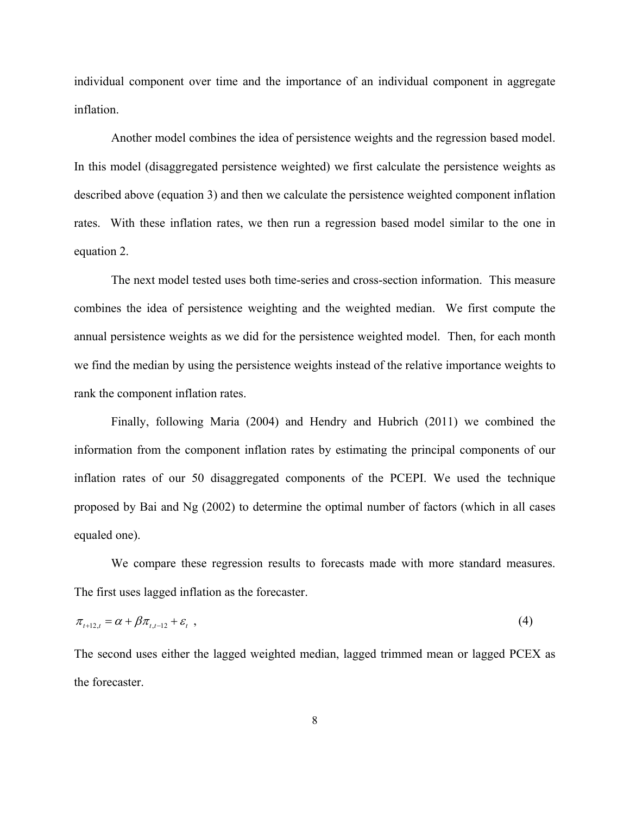individual component over time and the importance of an individual component in aggregate inflation.

 Another model combines the idea of persistence weights and the regression based model. In this model (disaggregated persistence weighted) we first calculate the persistence weights as described above (equation 3) and then we calculate the persistence weighted component inflation rates. With these inflation rates, we then run a regression based model similar to the one in equation 2.

 The next model tested uses both time-series and cross-section information. This measure combines the idea of persistence weighting and the weighted median. We first compute the annual persistence weights as we did for the persistence weighted model. Then, for each month we find the median by using the persistence weights instead of the relative importance weights to rank the component inflation rates.

 Finally, following Maria (2004) and Hendry and Hubrich (2011) we combined the information from the component inflation rates by estimating the principal components of our inflation rates of our 50 disaggregated components of the PCEPI. We used the technique proposed by Bai and Ng (2002) to determine the optimal number of factors (which in all cases equaled one).

We compare these regression results to forecasts made with more standard measures. The first uses lagged inflation as the forecaster.

$$
\pi_{t+12,t} = \alpha + \beta \pi_{t,t-12} + \varepsilon_t \tag{4}
$$

The second uses either the lagged weighted median, lagged trimmed mean or lagged PCEX as the forecaster.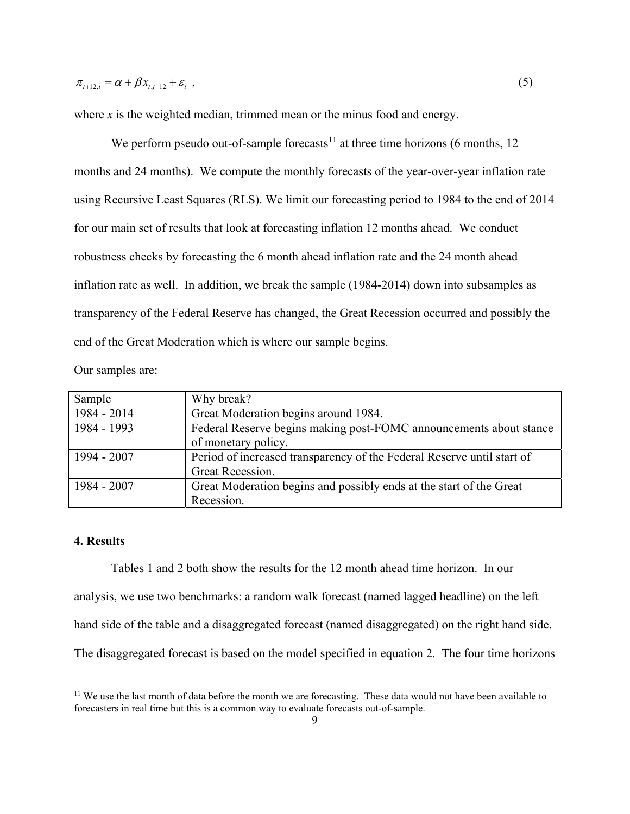where *x* is the weighted median, trimmed mean or the minus food and energy.

We perform pseudo out-of-sample forecasts<sup>11</sup> at three time horizons (6 months, 12) months and 24 months). We compute the monthly forecasts of the year-over-year inflation rate using Recursive Least Squares (RLS). We limit our forecasting period to 1984 to the end of 2014 for our main set of results that look at forecasting inflation 12 months ahead. We conduct robustness checks by forecasting the 6 month ahead inflation rate and the 24 month ahead inflation rate as well. In addition, we break the sample (1984-2014) down into subsamples as transparency of the Federal Reserve has changed, the Great Recession occurred and possibly the end of the Great Moderation which is where our sample begins.

Our samples are:

| Sample      | Why break?                                                             |
|-------------|------------------------------------------------------------------------|
| 1984 - 2014 | Great Moderation begins around 1984.                                   |
| 1984 - 1993 | Federal Reserve begins making post-FOMC announcements about stance     |
|             | of monetary policy.                                                    |
| 1994 - 2007 | Period of increased transparency of the Federal Reserve until start of |
|             | Great Recession.                                                       |
| 1984 - 2007 | Great Moderation begins and possibly ends at the start of the Great    |
|             | Recession.                                                             |

#### **4. Results**

 $\overline{\phantom{a}}$ 

Tables 1 and 2 both show the results for the 12 month ahead time horizon. In our analysis, we use two benchmarks: a random walk forecast (named lagged headline) on the left hand side of the table and a disaggregated forecast (named disaggregated) on the right hand side. The disaggregated forecast is based on the model specified in equation 2. The four time horizons

<sup>&</sup>lt;sup>11</sup> We use the last month of data before the month we are forecasting. These data would not have been available to forecasters in real time but this is a common way to evaluate forecasts out-of-sample.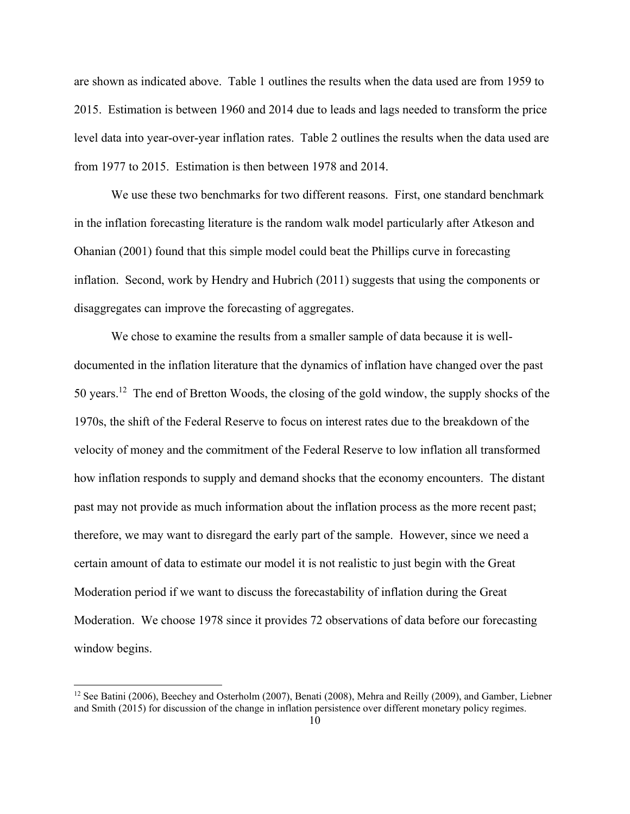are shown as indicated above. Table 1 outlines the results when the data used are from 1959 to 2015. Estimation is between 1960 and 2014 due to leads and lags needed to transform the price level data into year-over-year inflation rates. Table 2 outlines the results when the data used are from 1977 to 2015. Estimation is then between 1978 and 2014.

We use these two benchmarks for two different reasons. First, one standard benchmark in the inflation forecasting literature is the random walk model particularly after Atkeson and Ohanian (2001) found that this simple model could beat the Phillips curve in forecasting inflation. Second, work by Hendry and Hubrich (2011) suggests that using the components or disaggregates can improve the forecasting of aggregates.

We chose to examine the results from a smaller sample of data because it is welldocumented in the inflation literature that the dynamics of inflation have changed over the past 50 years.12 The end of Bretton Woods, the closing of the gold window, the supply shocks of the 1970s, the shift of the Federal Reserve to focus on interest rates due to the breakdown of the velocity of money and the commitment of the Federal Reserve to low inflation all transformed how inflation responds to supply and demand shocks that the economy encounters. The distant past may not provide as much information about the inflation process as the more recent past; therefore, we may want to disregard the early part of the sample. However, since we need a certain amount of data to estimate our model it is not realistic to just begin with the Great Moderation period if we want to discuss the forecastability of inflation during the Great Moderation. We choose 1978 since it provides 72 observations of data before our forecasting window begins.

 $\overline{\phantom{a}}$ 

<sup>&</sup>lt;sup>12</sup> See Batini (2006), Beechey and Osterholm (2007), Benati (2008), Mehra and Reilly (2009), and Gamber, Liebner and Smith (2015) for discussion of the change in inflation persistence over different monetary policy regimes.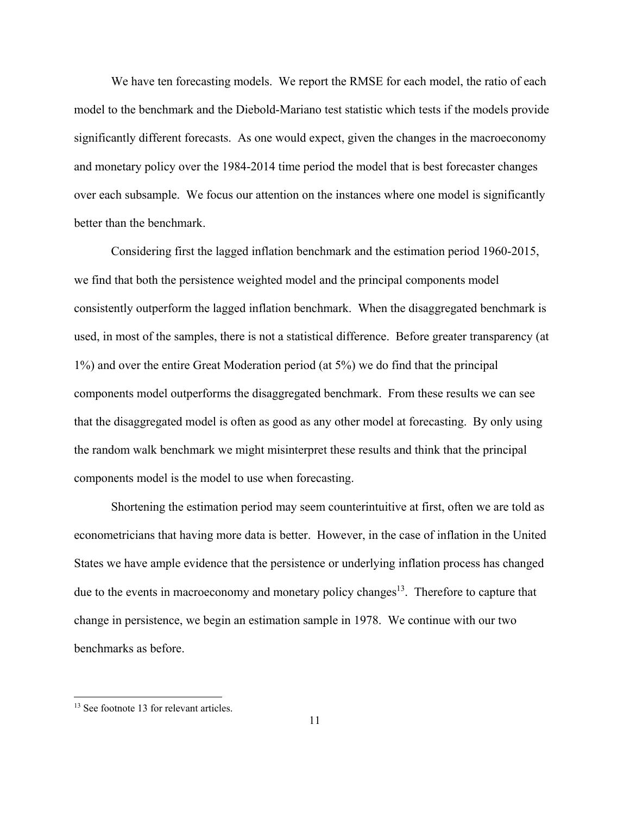We have ten forecasting models. We report the RMSE for each model, the ratio of each model to the benchmark and the Diebold-Mariano test statistic which tests if the models provide significantly different forecasts. As one would expect, given the changes in the macroeconomy and monetary policy over the 1984-2014 time period the model that is best forecaster changes over each subsample. We focus our attention on the instances where one model is significantly better than the benchmark.

Considering first the lagged inflation benchmark and the estimation period 1960-2015, we find that both the persistence weighted model and the principal components model consistently outperform the lagged inflation benchmark. When the disaggregated benchmark is used, in most of the samples, there is not a statistical difference. Before greater transparency (at 1%) and over the entire Great Moderation period (at 5%) we do find that the principal components model outperforms the disaggregated benchmark. From these results we can see that the disaggregated model is often as good as any other model at forecasting. By only using the random walk benchmark we might misinterpret these results and think that the principal components model is the model to use when forecasting.

Shortening the estimation period may seem counterintuitive at first, often we are told as econometricians that having more data is better. However, in the case of inflation in the United States we have ample evidence that the persistence or underlying inflation process has changed due to the events in macroeconomy and monetary policy changes<sup>13</sup>. Therefore to capture that change in persistence, we begin an estimation sample in 1978. We continue with our two benchmarks as before.

<sup>&</sup>lt;sup>13</sup> See footnote 13 for relevant articles.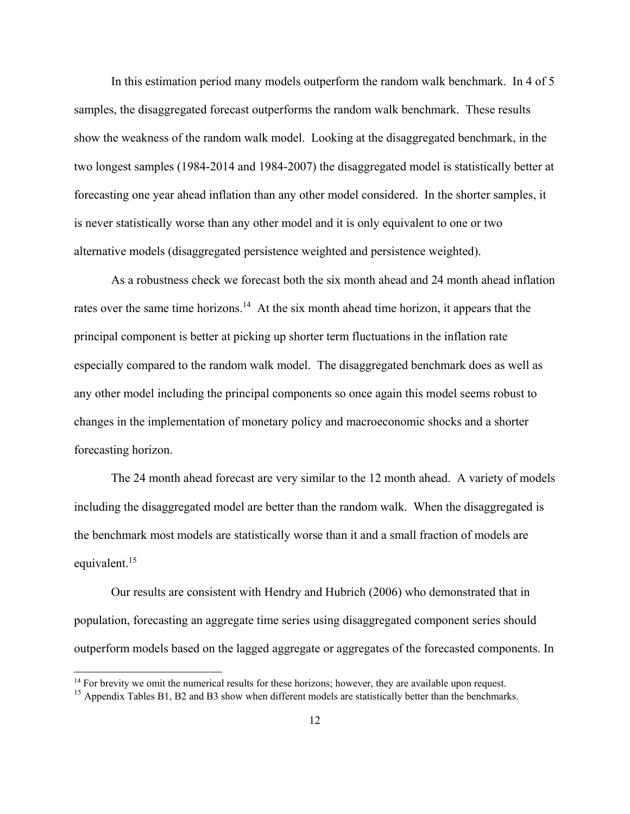In this estimation period many models outperform the random walk benchmark. In 4 of 5 samples, the disaggregated forecast outperforms the random walk benchmark. These results show the weakness of the random walk model. Looking at the disaggregated benchmark, in the two longest samples (1984-2014 and 1984-2007) the disaggregated model is statistically better at forecasting one year ahead inflation than any other model considered. In the shorter samples, it is never statistically worse than any other model and it is only equivalent to one or two alternative models (disaggregated persistence weighted and persistence weighted).

As a robustness check we forecast both the six month ahead and 24 month ahead inflation rates over the same time horizons.<sup>14</sup> At the six month ahead time horizon, it appears that the principal component is better at picking up shorter term fluctuations in the inflation rate especially compared to the random walk model. The disaggregated benchmark does as well as any other model including the principal components so once again this model seems robust to changes in the implementation of monetary policy and macroeconomic shocks and a shorter forecasting horizon.

The 24 month ahead forecast are very similar to the 12 month ahead. A variety of models including the disaggregated model are better than the random walk. When the disaggregated is the benchmark most models are statistically worse than it and a small fraction of models are equivalent.<sup>15</sup>

Our results are consistent with Hendry and Hubrich (2006) who demonstrated that in population, forecasting an aggregate time series using disaggregated component series should outperform models based on the lagged aggregate or aggregates of the forecasted components. In

<sup>&</sup>lt;sup>14</sup> For brevity we omit the numerical results for these horizons; however, they are available upon request.

<sup>&</sup>lt;sup>15</sup> Appendix Tables B1, B2 and B3 show when different models are statistically better than the benchmarks.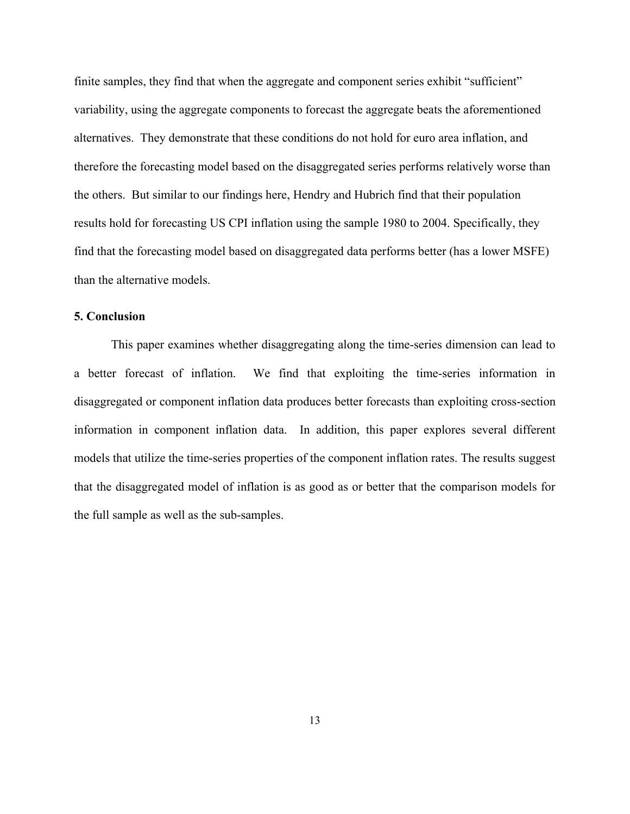finite samples, they find that when the aggregate and component series exhibit "sufficient" variability, using the aggregate components to forecast the aggregate beats the aforementioned alternatives. They demonstrate that these conditions do not hold for euro area inflation, and therefore the forecasting model based on the disaggregated series performs relatively worse than the others. But similar to our findings here, Hendry and Hubrich find that their population results hold for forecasting US CPI inflation using the sample 1980 to 2004. Specifically, they find that the forecasting model based on disaggregated data performs better (has a lower MSFE) than the alternative models.

### **5. Conclusion**

 This paper examines whether disaggregating along the time-series dimension can lead to a better forecast of inflation. We find that exploiting the time-series information in disaggregated or component inflation data produces better forecasts than exploiting cross-section information in component inflation data. In addition, this paper explores several different models that utilize the time-series properties of the component inflation rates. The results suggest that the disaggregated model of inflation is as good as or better that the comparison models for the full sample as well as the sub-samples.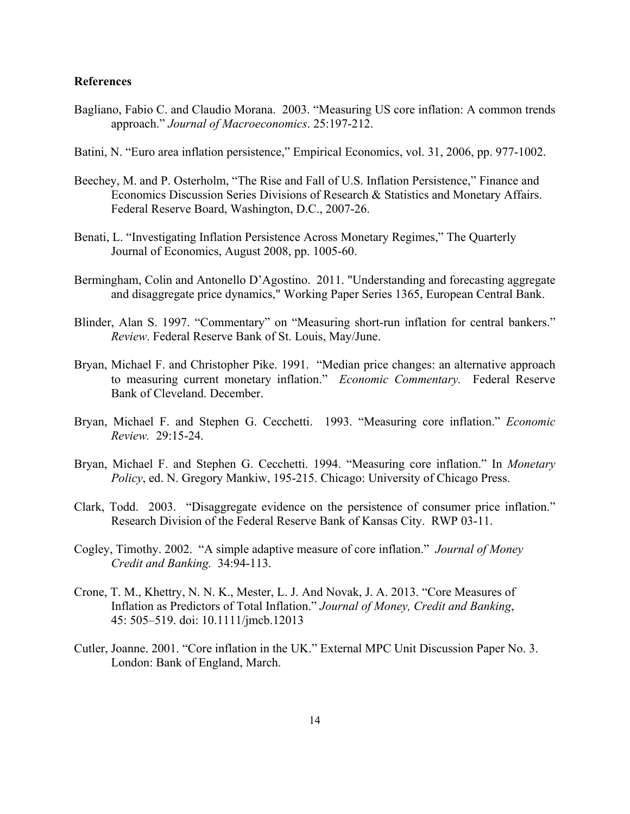#### **References**

- Bagliano, Fabio C. and Claudio Morana. 2003. "Measuring US core inflation: A common trends approach." *Journal of Macroeconomics*. 25:197-212.
- Batini, N. "Euro area inflation persistence," Empirical Economics, vol. 31, 2006, pp. 977-1002.
- Beechey, M. and P. Osterholm, "The Rise and Fall of U.S. Inflation Persistence," Finance and Economics Discussion Series Divisions of Research & Statistics and Monetary Affairs. Federal Reserve Board, Washington, D.C., 2007-26.
- Benati, L. "Investigating Inflation Persistence Across Monetary Regimes," The Quarterly Journal of Economics, August 2008, pp. 1005-60.
- Bermingham, Colin and Antonello D'Agostino. 2011. "Understanding and forecasting aggregate and disaggregate price dynamics," Working Paper Series 1365, European Central Bank.
- Blinder, Alan S. 1997. "Commentary" on "Measuring short-run inflation for central bankers." *Review*. Federal Reserve Bank of St. Louis, May/June.
- Bryan, Michael F. and Christopher Pike. 1991. "Median price changes: an alternative approach to measuring current monetary inflation." *Economic Commentary.* Federal Reserve Bank of Cleveland. December.
- Bryan, Michael F. and Stephen G. Cecchetti. 1993. "Measuring core inflation." *Economic Review.* 29:15-24.
- Bryan, Michael F. and Stephen G. Cecchetti. 1994. "Measuring core inflation." In *Monetary Policy*, ed. N. Gregory Mankiw, 195-215. Chicago: University of Chicago Press.
- Clark, Todd. 2003. "Disaggregate evidence on the persistence of consumer price inflation." Research Division of the Federal Reserve Bank of Kansas City. RWP 03-11.
- Cogley, Timothy. 2002. "A simple adaptive measure of core inflation." *Journal of Money Credit and Banking.* 34:94-113.
- Crone, T. M., Khettry, N. N. K., Mester, L. J. And Novak, J. A. 2013. "Core Measures of Inflation as Predictors of Total Inflation." *Journal of Money, Credit and Banking*, 45: 505–519. doi: 10.1111/jmcb.12013
- Cutler, Joanne. 2001. "Core inflation in the UK." External MPC Unit Discussion Paper No. 3. London: Bank of England, March.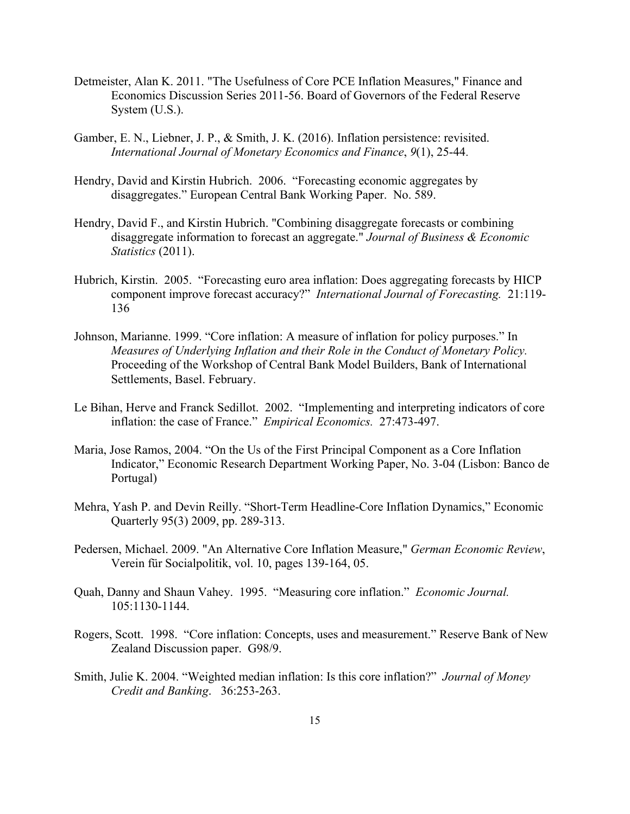- Detmeister, Alan K. 2011. "The Usefulness of Core PCE Inflation Measures," Finance and Economics Discussion Series 2011-56. Board of Governors of the Federal Reserve System (U.S.).
- Gamber, E. N., Liebner, J. P., & Smith, J. K. (2016). Inflation persistence: revisited. *International Journal of Monetary Economics and Finance*, *9*(1), 25-44.
- Hendry, David and Kirstin Hubrich. 2006. "Forecasting economic aggregates by disaggregates." European Central Bank Working Paper. No. 589.
- Hendry, David F., and Kirstin Hubrich. "Combining disaggregate forecasts or combining disaggregate information to forecast an aggregate." *Journal of Business & Economic Statistics* (2011).
- Hubrich, Kirstin. 2005. "Forecasting euro area inflation: Does aggregating forecasts by HICP component improve forecast accuracy?" *International Journal of Forecasting.* 21:119- 136
- Johnson, Marianne. 1999. "Core inflation: A measure of inflation for policy purposes." In *Measures of Underlying Inflation and their Role in the Conduct of Monetary Policy.*  Proceeding of the Workshop of Central Bank Model Builders, Bank of International Settlements, Basel. February.
- Le Bihan, Herve and Franck Sedillot. 2002. "Implementing and interpreting indicators of core inflation: the case of France." *Empirical Economics.* 27:473-497.
- Maria, Jose Ramos, 2004. "On the Us of the First Principal Component as a Core Inflation Indicator," Economic Research Department Working Paper, No. 3-04 (Lisbon: Banco de Portugal)
- Mehra, Yash P. and Devin Reilly. "Short-Term Headline-Core Inflation Dynamics," Economic Quarterly 95(3) 2009, pp. 289-313.
- Pedersen, Michael. 2009. "An Alternative Core Inflation Measure," *German Economic Review*, Verein für Socialpolitik, vol. 10, pages 139-164, 05.
- Quah, Danny and Shaun Vahey. 1995. "Measuring core inflation." *Economic Journal.*  105:1130-1144.
- Rogers, Scott. 1998. "Core inflation: Concepts, uses and measurement." Reserve Bank of New Zealand Discussion paper. G98/9.
- Smith, Julie K. 2004. "Weighted median inflation: Is this core inflation?" *Journal of Money Credit and Banking*. 36:253-263.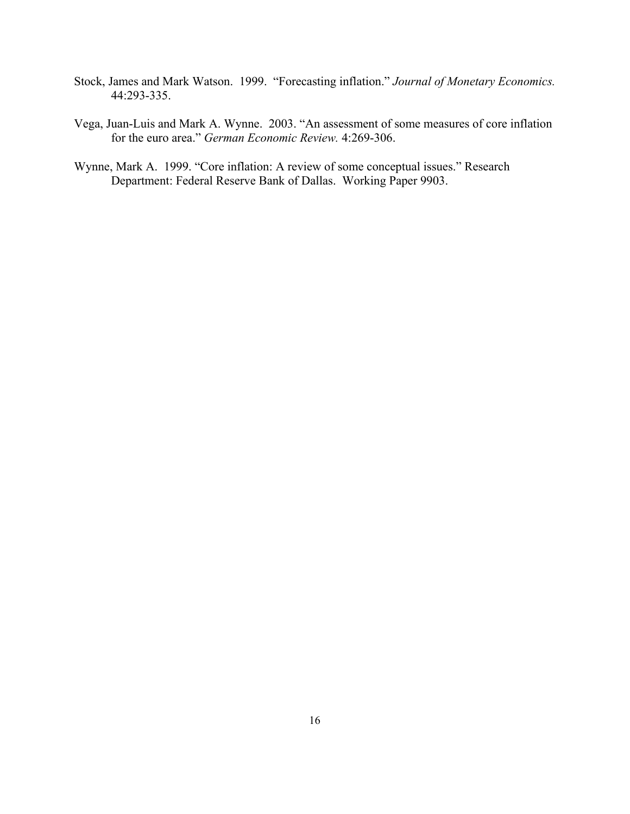- Stock, James and Mark Watson. 1999. "Forecasting inflation." *Journal of Monetary Economics.* 44:293-335.
- Vega, Juan-Luis and Mark A. Wynne. 2003. "An assessment of some measures of core inflation for the euro area." *German Economic Review.* 4:269-306.
- Wynne, Mark A. 1999. "Core inflation: A review of some conceptual issues." Research Department: Federal Reserve Bank of Dallas. Working Paper 9903.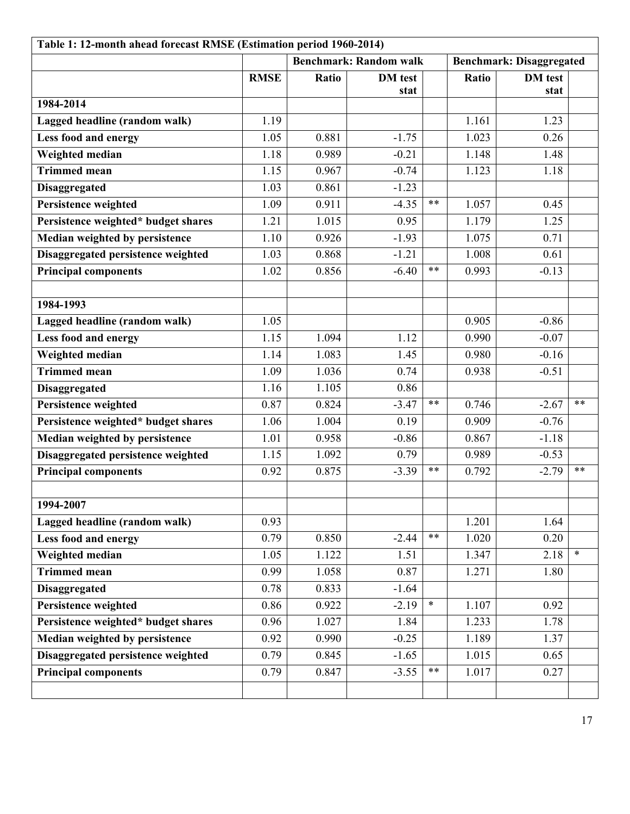| Table 1: 12-month ahead forecast RMSE (Estimation period 1960-2014) |                               |       |                |        |                                 |                |        |
|---------------------------------------------------------------------|-------------------------------|-------|----------------|--------|---------------------------------|----------------|--------|
|                                                                     | <b>Benchmark: Random walk</b> |       |                |        | <b>Benchmark: Disaggregated</b> |                |        |
|                                                                     | <b>RMSE</b>                   | Ratio | <b>DM</b> test |        | Ratio                           | <b>DM</b> test |        |
| 1984-2014                                                           |                               |       | stat           |        |                                 | stat           |        |
| Lagged headline (random walk)                                       | 1.19                          |       |                |        | 1.161                           | 1.23           |        |
|                                                                     | 1.05                          | 0.881 | $-1.75$        |        | 1.023                           | 0.26           |        |
| Less food and energy<br>Weighted median                             | 1.18                          | 0.989 | $-0.21$        |        | 1.148                           | 1.48           |        |
| <b>Trimmed mean</b>                                                 | 1.15                          | 0.967 | $-0.74$        |        | 1.123                           | 1.18           |        |
|                                                                     | 1.03                          | 0.861 |                |        |                                 |                |        |
| <b>Disaggregated</b>                                                |                               |       | $-1.23$        | $***$  |                                 |                |        |
| Persistence weighted                                                | 1.09                          | 0.911 | $-4.35$        |        | 1.057                           | 0.45           |        |
| Persistence weighted* budget shares                                 | 1.21                          | 1.015 | 0.95           |        | 1.179                           | 1.25           |        |
| Median weighted by persistence                                      | 1.10                          | 0.926 | $-1.93$        |        | 1.075                           | 0.71           |        |
| Disaggregated persistence weighted                                  | 1.03                          | 0.868 | $-1.21$        | $***$  | 1.008                           | 0.61           |        |
| <b>Principal components</b>                                         | 1.02                          | 0.856 | $-6.40$        |        | 0.993                           | $-0.13$        |        |
|                                                                     |                               |       |                |        |                                 |                |        |
| 1984-1993                                                           |                               |       |                |        |                                 |                |        |
| Lagged headline (random walk)                                       | 1.05                          |       |                |        | 0.905                           | $-0.86$        |        |
| Less food and energy                                                | 1.15                          | 1.094 | 1.12           |        | 0.990                           | $-0.07$        |        |
| Weighted median                                                     | 1.14                          | 1.083 | 1.45           |        | 0.980                           | $-0.16$        |        |
| <b>Trimmed mean</b>                                                 | 1.09                          | 1.036 | 0.74           |        | 0.938                           | $-0.51$        |        |
| <b>Disaggregated</b>                                                | 1.16                          | 1.105 | 0.86           |        |                                 |                |        |
| Persistence weighted                                                | 0.87                          | 0.824 | $-3.47$        | $***$  | 0.746                           | $-2.67$        | $***$  |
| Persistence weighted* budget shares                                 | 1.06                          | 1.004 | 0.19           |        | 0.909                           | $-0.76$        |        |
| Median weighted by persistence                                      | 1.01                          | 0.958 | $-0.86$        |        | 0.867                           | $-1.18$        |        |
| Disaggregated persistence weighted                                  | 1.15                          | 1.092 | 0.79           |        | 0.989                           | $-0.53$        |        |
| <b>Principal components</b>                                         | 0.92                          | 0.875 | $-3.39$        | **     | 0.792                           | $-2.79$        | **     |
|                                                                     |                               |       |                |        |                                 |                |        |
| 1994-2007                                                           |                               |       |                |        |                                 |                |        |
| Lagged headline (random walk)                                       | 0.93                          |       |                |        | 1.201                           | 1.64           |        |
| Less food and energy                                                | 0.79                          | 0.850 | $-2.44$        | $***$  | 1.020                           | 0.20           |        |
| Weighted median                                                     | 1.05                          | 1.122 | 1.51           |        | 1.347                           | 2.18           | $\ast$ |
| <b>Trimmed mean</b>                                                 | 0.99                          | 1.058 | 0.87           |        | 1.271                           | 1.80           |        |
| <b>Disaggregated</b>                                                | 0.78                          | 0.833 | $-1.64$        |        |                                 |                |        |
| Persistence weighted                                                | 0.86                          | 0.922 | $-2.19$        | $\ast$ | 1.107                           | 0.92           |        |
| Persistence weighted* budget shares                                 | 0.96                          | 1.027 | 1.84           |        | 1.233                           | 1.78           |        |
| Median weighted by persistence                                      | 0.92                          | 0.990 | $-0.25$        |        | 1.189                           | 1.37           |        |
| Disaggregated persistence weighted                                  | 0.79                          | 0.845 | $-1.65$        |        | 1.015                           | 0.65           |        |
| <b>Principal components</b>                                         | 0.79                          | 0.847 | $-3.55$        | $***$  | 1.017                           | 0.27           |        |
|                                                                     |                               |       |                |        |                                 |                |        |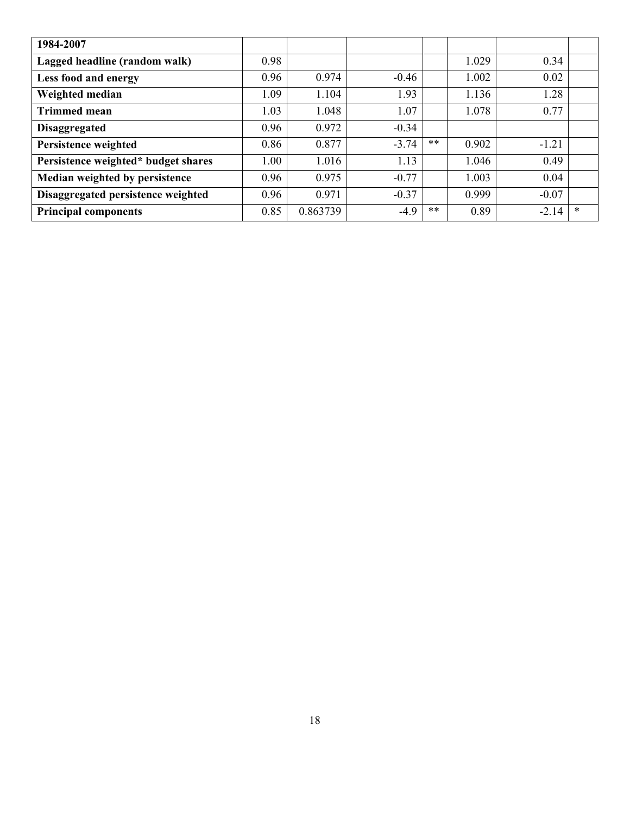| 1984-2007                           |      |          |         |    |       |         |        |
|-------------------------------------|------|----------|---------|----|-------|---------|--------|
| Lagged headline (random walk)       | 0.98 |          |         |    | 1.029 | 0.34    |        |
| Less food and energy                | 0.96 | 0.974    | $-0.46$ |    | 1.002 | 0.02    |        |
| Weighted median                     | 1.09 | 1.104    | 1.93    |    | 1.136 | 1.28    |        |
| <b>Trimmed mean</b>                 | 1.03 | 1.048    | 1.07    |    | 1.078 | 0.77    |        |
| <b>Disaggregated</b>                | 0.96 | 0.972    | $-0.34$ |    |       |         |        |
| Persistence weighted                | 0.86 | 0.877    | $-3.74$ | ** | 0.902 | $-1.21$ |        |
| Persistence weighted* budget shares | 1.00 | 1.016    | 1.13    |    | 1.046 | 0.49    |        |
| Median weighted by persistence      | 0.96 | 0.975    | $-0.77$ |    | 1.003 | 0.04    |        |
| Disaggregated persistence weighted  | 0.96 | 0.971    | $-0.37$ |    | 0.999 | $-0.07$ |        |
| <b>Principal components</b>         | 0.85 | 0.863739 | $-4.9$  | ** | 0.89  | $-2.14$ | $\ast$ |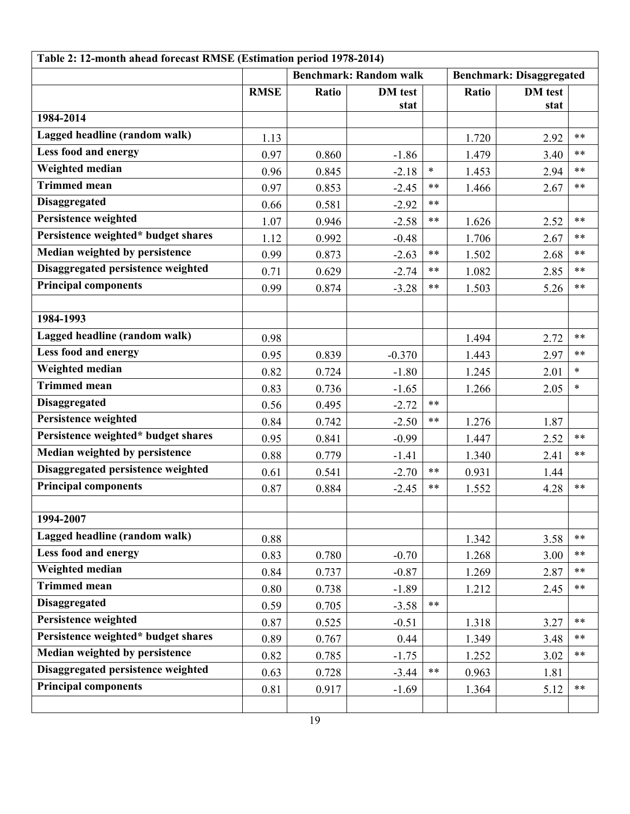| Table 2: 12-month ahead forecast RMSE (Estimation period 1978-2014) |                               |       |                |        |                                 |                |        |
|---------------------------------------------------------------------|-------------------------------|-------|----------------|--------|---------------------------------|----------------|--------|
|                                                                     | <b>Benchmark: Random walk</b> |       |                |        | <b>Benchmark: Disaggregated</b> |                |        |
|                                                                     | <b>RMSE</b>                   | Ratio | <b>DM</b> test |        | Ratio                           | <b>DM</b> test |        |
| 1984-2014                                                           |                               |       | stat           |        |                                 | stat           |        |
| Lagged headline (random walk)                                       |                               |       |                |        |                                 |                | $**$   |
| <b>Less food and energy</b>                                         | 1.13                          |       |                |        | 1.720                           | 2.92           | $***$  |
| Weighted median                                                     | 0.97                          | 0.860 | $-1.86$        | $\ast$ | 1.479                           | 3.40           | $***$  |
| Trimmed mean                                                        | 0.96                          | 0.845 | $-2.18$        | $***$  | 1.453                           | 2.94           | $***$  |
| <b>Disaggregated</b>                                                | 0.97                          | 0.853 | $-2.45$        | $***$  | 1.466                           | 2.67           |        |
| Persistence weighted                                                | 0.66                          | 0.581 | $-2.92$        | $***$  |                                 |                | $***$  |
| Persistence weighted* budget shares                                 | 1.07                          | 0.946 | $-2.58$        |        | 1.626                           | 2.52           |        |
| Median weighted by persistence                                      | 1.12                          | 0.992 | $-0.48$        |        | 1.706                           | 2.67           | $***$  |
| Disaggregated persistence weighted                                  | 0.99                          | 0.873 | $-2.63$        | $***$  | 1.502                           | 2.68           | $**$   |
| <b>Principal components</b>                                         | 0.71                          | 0.629 | $-2.74$        | $***$  | 1.082                           | 2.85           | $***$  |
|                                                                     | 0.99                          | 0.874 | $-3.28$        | **     | 1.503                           | 5.26           | **     |
| 1984-1993                                                           |                               |       |                |        |                                 |                |        |
| Lagged headline (random walk)                                       |                               |       |                |        |                                 |                |        |
|                                                                     | 0.98                          |       |                |        | 1.494                           | 2.72           | $***$  |
| <b>Less food and energy</b>                                         | 0.95                          | 0.839 | $-0.370$       |        | 1.443                           | 2.97           | $***$  |
| Weighted median                                                     | 0.82                          | 0.724 | $-1.80$        |        | 1.245                           | 2.01           | $\ast$ |
| <b>Trimmed mean</b>                                                 | 0.83                          | 0.736 | $-1.65$        |        | 1.266                           | 2.05           | $\ast$ |
| <b>Disaggregated</b>                                                | 0.56                          | 0.495 | $-2.72$        | $***$  |                                 |                |        |
| Persistence weighted                                                | 0.84                          | 0.742 | $-2.50$        | $***$  | 1.276                           | 1.87           |        |
| Persistence weighted* budget shares                                 | 0.95                          | 0.841 | $-0.99$        |        | 1.447                           | 2.52           | $***$  |
| Median weighted by persistence                                      | 0.88                          | 0.779 | $-1.41$        |        | 1.340                           | 2.41           | $***$  |
| Disaggregated persistence weighted                                  | 0.61                          | 0.541 | $-2.70$        | $***$  | 0.931                           | 1.44           |        |
| <b>Principal components</b>                                         | 0.87                          | 0.884 | $-2.45$        | $***$  | 1.552                           | 4.28           | $***$  |
|                                                                     |                               |       |                |        |                                 |                |        |
| 1994-2007                                                           |                               |       |                |        |                                 |                |        |
| Lagged headline (random walk)                                       | 0.88                          |       |                |        | 1.342                           | 3.58           | $***$  |
| Less food and energy                                                | 0.83                          | 0.780 | $-0.70$        |        | 1.268                           | 3.00           | $***$  |
| Weighted median                                                     | 0.84                          | 0.737 | $-0.87$        |        | 1.269                           | 2.87           | $***$  |
| Trimmed mean                                                        | 0.80                          | 0.738 | $-1.89$        |        | 1.212                           | 2.45           | $***$  |
| <b>Disaggregated</b>                                                | 0.59                          | 0.705 | $-3.58$        | $***$  |                                 |                |        |
| Persistence weighted                                                | 0.87                          | 0.525 | $-0.51$        |        | 1.318                           | 3.27           | $***$  |
| Persistence weighted* budget shares                                 | 0.89                          | 0.767 | 0.44           |        | 1.349                           | 3.48           | $***$  |
| Median weighted by persistence                                      | 0.82                          | 0.785 | $-1.75$        |        | 1.252                           | 3.02           | $***$  |
| Disaggregated persistence weighted                                  | 0.63                          | 0.728 | $-3.44$        | $***$  | 0.963                           | 1.81           |        |
| <b>Principal components</b>                                         | 0.81                          | 0.917 | $-1.69$        |        | 1.364                           | 5.12           | **     |
|                                                                     |                               |       |                |        |                                 |                |        |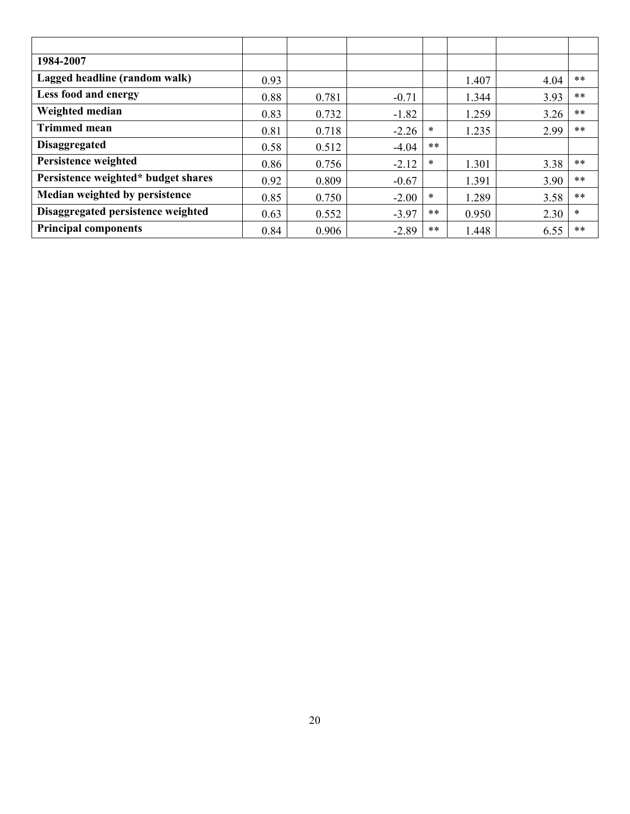| 1984-2007                           |      |       |         |        |       |      |       |
|-------------------------------------|------|-------|---------|--------|-------|------|-------|
| Lagged headline (random walk)       | 0.93 |       |         |        | 1.407 | 4.04 | $***$ |
| Less food and energy                | 0.88 | 0.781 | $-0.71$ |        | 1.344 | 3.93 | $***$ |
| Weighted median                     | 0.83 | 0.732 | $-1.82$ |        | 1.259 | 3.26 | $***$ |
| <b>Trimmed mean</b>                 | 0.81 | 0.718 | $-2.26$ | $\ast$ | 1.235 | 2.99 | $***$ |
| <b>Disaggregated</b>                | 0.58 | 0.512 | $-4.04$ | **     |       |      |       |
| Persistence weighted                | 0.86 | 0.756 | $-2.12$ | ∗      | 1.301 | 3.38 | $***$ |
| Persistence weighted* budget shares | 0.92 | 0.809 | $-0.67$ |        | 1.391 | 3.90 | **    |
| Median weighted by persistence      | 0.85 | 0.750 | $-2.00$ | ∗      | 1.289 | 3.58 | $***$ |
| Disaggregated persistence weighted  | 0.63 | 0.552 | $-3.97$ | **     | 0.950 | 2.30 | *     |
| <b>Principal components</b>         | 0.84 | 0.906 | $-2.89$ | **     | 1.448 | 6.55 | $***$ |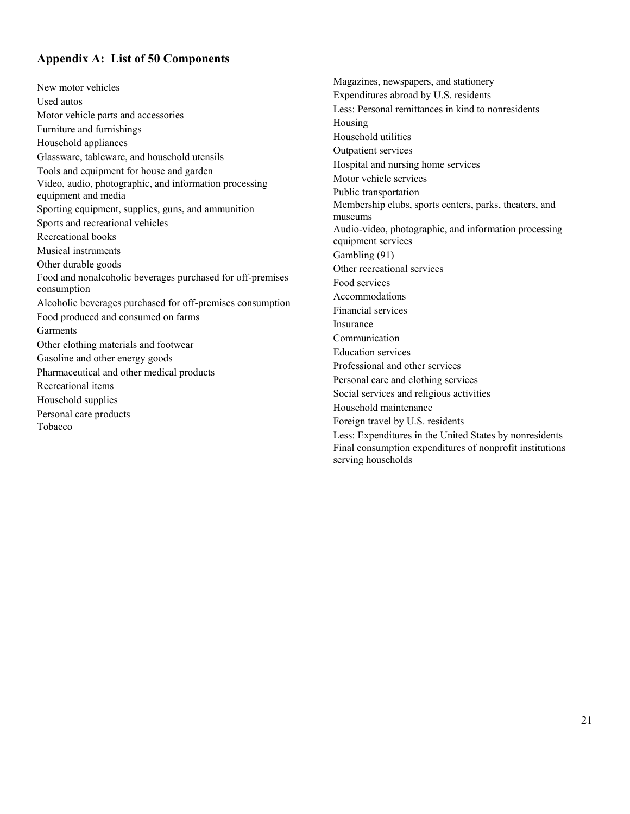## **Appendix A: List of 50 Components**

New motor vehicles Used autos Motor vehicle parts and accessories Furniture and furnishings Household appliances Glassware, tableware, and household utensils Tools and equipment for house and garden Video, audio, photographic, and information processing equipment and media Sporting equipment, supplies, guns, and ammunition Sports and recreational vehicles Recreational books Musical instruments Other durable goods Food and nonalcoholic beverages purchased for off-premises consumption Alcoholic beverages purchased for off-premises consumption Food produced and consumed on farms Garments Other clothing materials and footwear Gasoline and other energy goods Pharmaceutical and other medical products Recreational items Household supplies Personal care products Tobacco

Magazines, newspapers, and stationery Expenditures abroad by U.S. residents Less: Personal remittances in kind to nonresidents Housing Household utilities Outpatient services Hospital and nursing home services Motor vehicle services Public transportation Membership clubs, sports centers, parks, theaters, and museums Audio-video, photographic, and information processing equipment services Gambling (91) Other recreational services Food services Accommodations Financial services Insurance Communication Education services Professional and other services Personal care and clothing services Social services and religious activities Household maintenance Foreign travel by U.S. residents Less: Expenditures in the United States by nonresidents Final consumption expenditures of nonprofit institutions serving households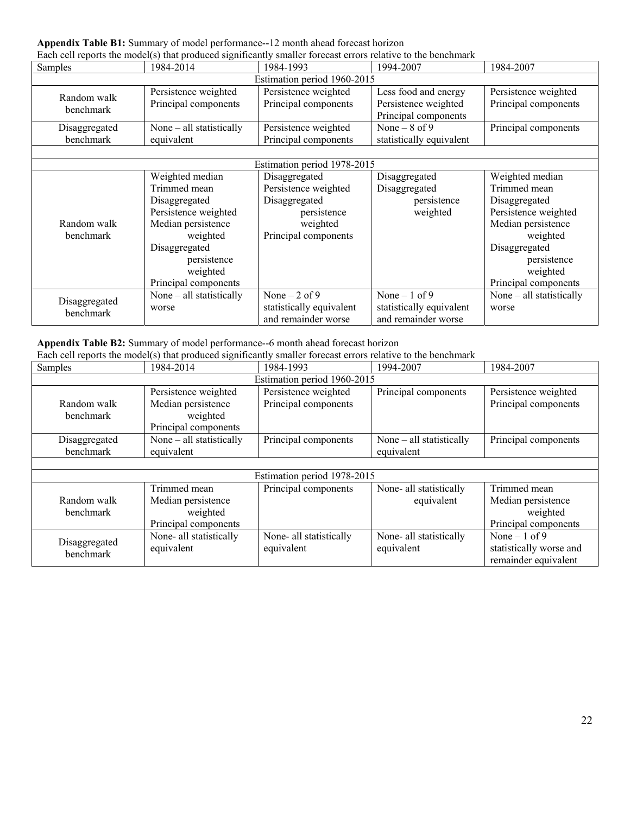**Appendix Table B1:** Summary of model performance--12 month ahead forecast horizon

| Each cell reports the model(s) that produced significantly smaller forecast errors relative to the benchmark |                                                                                                                                                                                |                                                                                                           |                                                                      |                                                                                                                                                                                |  |  |  |
|--------------------------------------------------------------------------------------------------------------|--------------------------------------------------------------------------------------------------------------------------------------------------------------------------------|-----------------------------------------------------------------------------------------------------------|----------------------------------------------------------------------|--------------------------------------------------------------------------------------------------------------------------------------------------------------------------------|--|--|--|
| Samples                                                                                                      | 1984-2014                                                                                                                                                                      | 1984-1993                                                                                                 | 1994-2007                                                            | 1984-2007                                                                                                                                                                      |  |  |  |
| Estimation period 1960-2015                                                                                  |                                                                                                                                                                                |                                                                                                           |                                                                      |                                                                                                                                                                                |  |  |  |
| Random walk<br>benchmark                                                                                     | Persistence weighted<br>Principal components                                                                                                                                   | Persistence weighted<br>Principal components                                                              | Less food and energy<br>Persistence weighted<br>Principal components | Persistence weighted<br>Principal components                                                                                                                                   |  |  |  |
| Disaggregated<br>benchmark                                                                                   | None – all statistically<br>equivalent                                                                                                                                         | Persistence weighted<br>Principal components                                                              | None $-8$ of 9<br>statistically equivalent                           | Principal components                                                                                                                                                           |  |  |  |
|                                                                                                              |                                                                                                                                                                                | Estimation period 1978-2015                                                                               |                                                                      |                                                                                                                                                                                |  |  |  |
| Random walk<br>benchmark                                                                                     | Weighted median<br>Trimmed mean<br>Disaggregated<br>Persistence weighted<br>Median persistence<br>weighted<br>Disaggregated<br>persistence<br>weighted<br>Principal components | Disaggregated<br>Persistence weighted<br>Disaggregated<br>persistence<br>weighted<br>Principal components | Disaggregated<br>Disaggregated<br>persistence<br>weighted            | Weighted median<br>Trimmed mean<br>Disaggregated<br>Persistence weighted<br>Median persistence<br>weighted<br>Disaggregated<br>persistence<br>weighted<br>Principal components |  |  |  |
| Disaggregated<br>benchmark                                                                                   | None – all statistically<br>worse                                                                                                                                              | None $-2$ of 9<br>statistically equivalent<br>and remainder worse                                         | None $-1$ of 9<br>statistically equivalent<br>and remainder worse    | None – all statistically<br>worse                                                                                                                                              |  |  |  |

#### **Appendix Table B2:** Summary of model performance--6 month ahead forecast horizon

|                             |                      | Each cell reports the model(s) that produced significantly smaller forecast errors relative to the benchmark |                      |                      |  |  |  |
|-----------------------------|----------------------|--------------------------------------------------------------------------------------------------------------|----------------------|----------------------|--|--|--|
| <b>Samples</b>              | 1984-2014            | 1984-1993                                                                                                    | 1994-2007            | 1984-2007            |  |  |  |
| Estimation period 1960-2015 |                      |                                                                                                              |                      |                      |  |  |  |
|                             | Persistence weighted | Persistence weighted                                                                                         | Principal components | Persistence weighted |  |  |  |
| Random walk                 | Median persistence   | Principal components                                                                                         |                      | Principal components |  |  |  |
| benchmark                   | weighted             |                                                                                                              |                      |                      |  |  |  |

| benchmark                  | weighted                   |                             |                          |                         |
|----------------------------|----------------------------|-----------------------------|--------------------------|-------------------------|
|                            | Principal components       |                             |                          |                         |
| Disaggregated              | None $-$ all statistically | Principal components        | None – all statistically | Principal components    |
| benchmark                  | equivalent                 |                             | equivalent               |                         |
|                            |                            |                             |                          |                         |
|                            |                            | Estimation period 1978-2015 |                          |                         |
|                            | Trimmed mean               | Principal components        | None- all statistically  | Trimmed mean            |
| Random walk                | Median persistence         |                             | equivalent               | Median persistence      |
| benchmark                  | weighted                   |                             |                          | weighted                |
|                            | Principal components       |                             |                          | Principal components    |
|                            | None- all statistically    | None- all statistically     | None- all statistically  | None $-1$ of 9          |
| Disaggregated<br>benchmark | equivalent                 | equivalent                  | equivalent               | statistically worse and |
|                            |                            |                             |                          | remainder equivalent    |